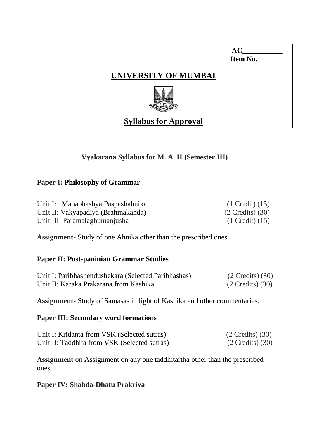| AC       |
|----------|
| Item No. |

# **UNIVERSITY OF MUMBAI**



# **Syllabus for Approval**

# **Vyakarana Syllabus for M. A. II (Semester III)**

## **Paper I: Philosophy of Grammar**

Unit I: Mahabhashya Paspashahnika (1 Credit) (15) Unit II: Vakyapadiya (Brahmakanda) (2 Credits) (30) Unit III: Paramalaghumanjusha (1 Credit) (15)

**Assignment**- Study of one Ahnika other than the prescribed ones.

## **Paper II: Post-paninian Grammar Studies**

| Unit I: Paribhashendushekara (Selected Paribhashas) | $(2 \text{ Credits}) (30)$   |
|-----------------------------------------------------|------------------------------|
| Unit II: Karaka Prakarana from Kashika              | $(2 \text{ Credits})$ $(30)$ |

**Assignment**- Study of Samasas in light of Kashika and other commentaries.

## **Paper III: Secondary word formations**

| Unit I: Kridanta from VSK (Selected sutras)  | $(2 \text{ Credits})$ $(30)$ |
|----------------------------------------------|------------------------------|
| Unit II: Taddhita from VSK (Selected sutras) | $(2$ Credits) $(30)$         |

**Assignment** on Assignment on any one taddhitartha other than the prescribed ones.

**Paper IV: Shabda-Dhatu Prakriya**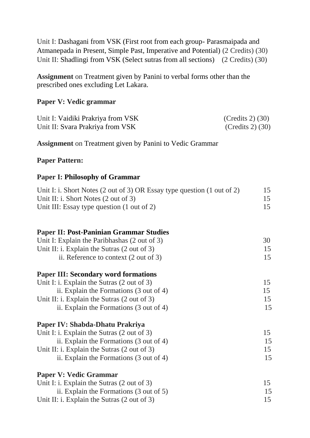Unit I: Dashagani from VSK (First root from each group- Parasmaipada and Atmanepada in Present, Simple Past, Imperative and Potential) (2 Credits) (30) Unit II: Shadlingi from VSK (Select sutras from all sections) (2 Credits) (30)

**Assignment** on Treatment given by Panini to verbal forms other than the prescribed ones excluding Let Lakara.

#### **Paper V: Vedic grammar**

| Unit I: Vaidiki Prakriya from VSK | $(Credits 2)$ (30) |
|-----------------------------------|--------------------|
| Unit II: Svara Prakriya from VSK  | $(Credits 2)$ (30) |

**Assignment** on Treatment given by Panini to Vedic Grammar

#### **Paper Pattern:**

#### **Paper I: Philosophy of Grammar**

| Unit I: i. Short Notes (2 out of 3) OR Essay type question (1 out of 2) | 15 |
|-------------------------------------------------------------------------|----|
| Unit II: i. Short Notes $(2 \text{ out of } 3)$                         | 15 |
| Unit III: Essay type question (1 out of 2)                              | 15 |

## **Paper II: Post-Paninian Grammar Studies**

| Unit I: Explain the Paribhashas (2 out of 3)           | 30 |
|--------------------------------------------------------|----|
| Unit II: i. Explain the Sutras $(2 \text{ out of } 3)$ | 15 |
| ii. Reference to context $(2 \text{ out of } 3)$       | 15 |

## **Paper III: Secondary word formations**

| Unit I: i. Explain the Sutras $(2 \text{ out of } 3)$  |    |
|--------------------------------------------------------|----|
| ii. Explain the Formations $(3 \text{ out of } 4)$     | 15 |
| Unit II: i. Explain the Sutras $(2 \text{ out of } 3)$ | 15 |
| ii. Explain the Formations (3 out of 4)                | 15 |
|                                                        |    |

# **Paper IV: Shabda-Dhatu Prakriya**

| Unit I: i. Explain the Sutras $(2 \text{ out of } 3)$  |    |
|--------------------------------------------------------|----|
| ii. Explain the Formations $(3 \text{ out of } 4)$     | 15 |
| Unit II: i. Explain the Sutras $(2 \text{ out of } 3)$ |    |
| ii. Explain the Formations (3 out of 4)                | 15 |

| <b>Paper V: Vedic Grammar</b>                          |    |
|--------------------------------------------------------|----|
| Unit I: i. Explain the Sutras $(2 \text{ out of } 3)$  |    |
| ii. Explain the Formations (3 out of 5)                | 15 |
| Unit II: i. Explain the Sutras $(2 \text{ out of } 3)$ | 15 |